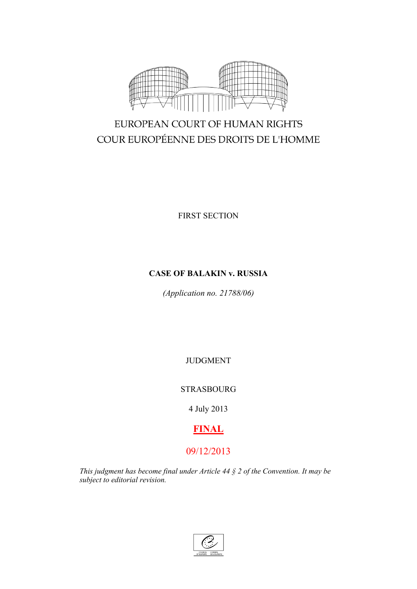

# EUROPEAN COURT OF HUMAN RIGHTS COUR EUROPÉENNE DES DROITS DE L'HOMME

FIRST SECTION

## **CASE OF BALAKIN v. RUSSIA**

*(Application no. 21788/06)*

JUDGMENT

STRASBOURG

4 July 2013

## **FINAL**

## 09/12/2013

*This judgment has become final under Article 44 § 2 of the Convention. It may be subject to editorial revision.*

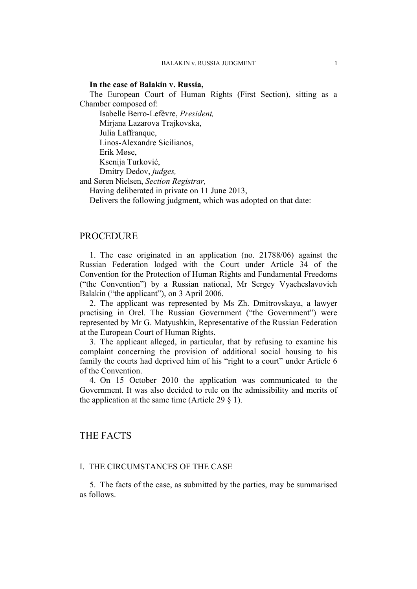#### **In the case of Balakin v. Russia,**

The European Court of Human Rights (First Section), sitting as a Chamber composed of:

Isabelle Berro-Lefèvre, *President,* Mirjana Lazarova Trajkovska, Julia Laffranque, Linos-Alexandre Sicilianos, Erik Møse, Ksenija Turković, Dmitry Dedov, *judges,*

and Søren Nielsen, *Section Registrar,*

Having deliberated in private on 11 June 2013,

Delivers the following judgment, which was adopted on that date:

### **PROCEDURE**

1. The case originated in an application (no. 21788/06) against the Russian Federation lodged with the Court under Article 34 of the Convention for the Protection of Human Rights and Fundamental Freedoms ("the Convention") by a Russian national, Mr Sergey Vyacheslavovich Balakin ("the applicant"), on 3 April 2006.

2. The applicant was represented by Ms Zh. Dmitrovskaya, a lawyer practising in Orel. The Russian Government ("the Government") were represented by Mr G. Matyushkin, Representative of the Russian Federation at the European Court of Human Rights.

3. The applicant alleged, in particular, that by refusing to examine his complaint concerning the provision of additional social housing to his family the courts had deprived him of his "right to a court" under Article 6 of the Convention.

4. On 15 October 2010 the application was communicated to the Government. It was also decided to rule on the admissibility and merits of the application at the same time (Article 29  $\S$  1).

### THE FACTS

### I. THE CIRCUMSTANCES OF THE CASE

5. The facts of the case, as submitted by the parties, may be summarised as follows.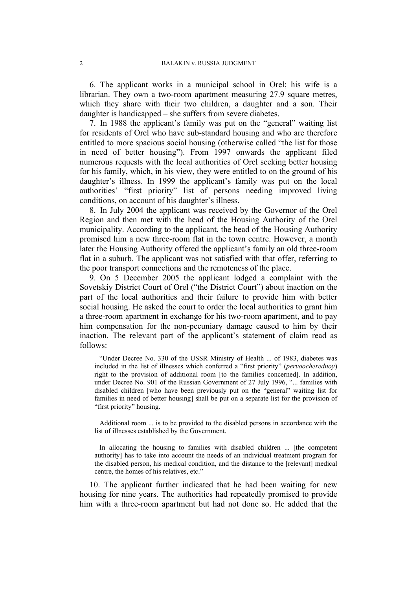6. The applicant works in a municipal school in Orel; his wife is a librarian. They own a two-room apartment measuring 27.9 square metres, which they share with their two children, a daughter and a son. Their daughter is handicapped – she suffers from severe diabetes.

7. In 1988 the applicant's family was put on the "general" waiting list for residents of Orel who have sub-standard housing and who are therefore entitled to more spacious social housing (otherwise called "the list for those in need of better housing"). From 1997 onwards the applicant filed numerous requests with the local authorities of Orel seeking better housing for his family, which, in his view, they were entitled to on the ground of his daughter's illness. In 1999 the applicant's family was put on the local authorities' "first priority" list of persons needing improved living conditions, on account of his daughter's illness.

8. In July 2004 the applicant was received by the Governor of the Orel Region and then met with the head of the Housing Authority of the Orel municipality. According to the applicant, the head of the Housing Authority promised him a new three-room flat in the town centre. However, a month later the Housing Authority offered the applicant's family an old three-room flat in a suburb. The applicant was not satisfied with that offer, referring to the poor transport connections and the remoteness of the place.

9. On 5 December 2005 the applicant lodged a complaint with the Sovetskiy District Court of Orel ("the District Court") about inaction on the part of the local authorities and their failure to provide him with better social housing. He asked the court to order the local authorities to grant him a three-room apartment in exchange for his two-room apartment, and to pay him compensation for the non-pecuniary damage caused to him by their inaction. The relevant part of the applicant's statement of claim read as follows:

"Under Decree No. 330 of the USSR Ministry of Health ... of 1983, diabetes was included in the list of illnesses which conferred a "first priority" (*pervoocherednoy*) right to the provision of additional room [to the families concerned]. In addition, under Decree No. 901 of the Russian Government of 27 July 1996, "... families with disabled children [who have been previously put on the "general" waiting list for families in need of better housing] shall be put on a separate list for the provision of "first priority" housing.

Additional room ... is to be provided to the disabled persons in accordance with the list of illnesses established by the Government.

In allocating the housing to families with disabled children ... [the competent authority] has to take into account the needs of an individual treatment program for the disabled person, his medical condition, and the distance to the [relevant] medical centre, the homes of his relatives, etc."

10. The applicant further indicated that he had been waiting for new housing for nine years. The authorities had repeatedly promised to provide him with a three-room apartment but had not done so. He added that the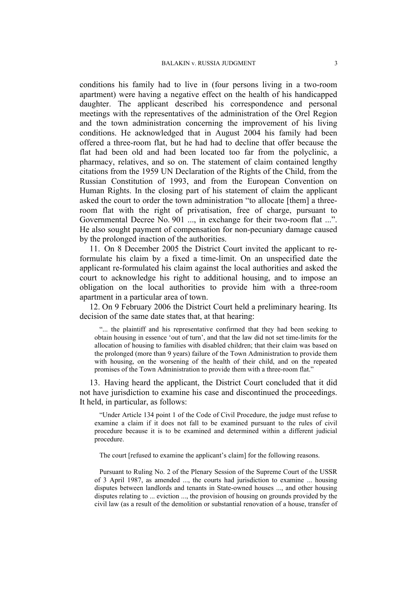conditions his family had to live in (four persons living in a two-room apartment) were having a negative effect on the health of his handicapped daughter. The applicant described his correspondence and personal meetings with the representatives of the administration of the Orel Region and the town administration concerning the improvement of his living conditions. He acknowledged that in August 2004 his family had been offered a three-room flat, but he had had to decline that offer because the flat had been old and had been located too far from the polyclinic, a pharmacy, relatives, and so on. The statement of claim contained lengthy citations from the 1959 UN Declaration of the Rights of the Child, from the Russian Constitution of 1993, and from the European Convention on Human Rights. In the closing part of his statement of claim the applicant asked the court to order the town administration "to allocate [them] a threeroom flat with the right of privatisation, free of charge, pursuant to Governmental Decree No. 901 ..., in exchange for their two-room flat ...". He also sought payment of compensation for non-pecuniary damage caused by the prolonged inaction of the authorities.

11. On 8 December 2005 the District Court invited the applicant to reformulate his claim by a fixed a time-limit. On an unspecified date the applicant re-formulated his claim against the local authorities and asked the court to acknowledge his right to additional housing, and to impose an obligation on the local authorities to provide him with a three-room apartment in a particular area of town.

12. On 9 February 2006 the District Court held a preliminary hearing. Its decision of the same date states that, at that hearing:

"... the plaintiff and his representative confirmed that they had been seeking to obtain housing in essence 'out of turn', and that the law did not set time-limits for the allocation of housing to families with disabled children; that their claim was based on the prolonged (more than 9 years) failure of the Town Administration to provide them with housing, on the worsening of the health of their child, and on the repeated promises of the Town Administration to provide them with a three-room flat."

13. Having heard the applicant, the District Court concluded that it did not have jurisdiction to examine his case and discontinued the proceedings. It held, in particular, as follows:

"Under Article 134 point 1 of the Code of Civil Procedure, the judge must refuse to examine a claim if it does not fall to be examined pursuant to the rules of civil procedure because it is to be examined and determined within a different judicial procedure.

The court [refused to examine the applicant's claim] for the following reasons.

Pursuant to Ruling No. 2 of the Plenary Session of the Supreme Court of the USSR of 3 April 1987, as amended ..., the courts had jurisdiction to examine ... housing disputes between landlords and tenants in State-owned houses ..., and other housing disputes relating to ... eviction ..., the provision of housing on grounds provided by the civil law (as a result of the demolition or substantial renovation of a house, transfer of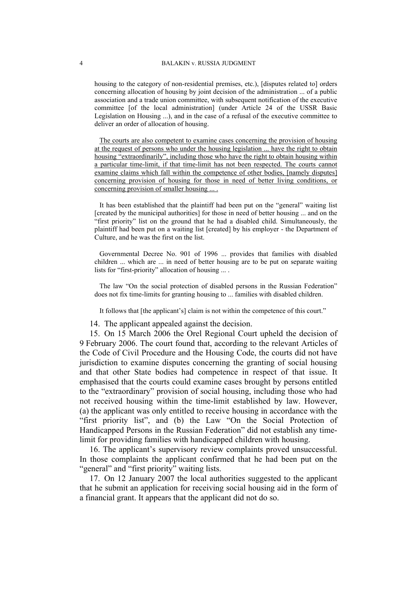housing to the category of non-residential premises, etc.), [disputes related to] orders concerning allocation of housing by joint decision of the administration ... of a public association and a trade union committee, with subsequent notification of the executive committee [of the local administration] (under Article 24 of the USSR Basic Legislation on Housing ...), and in the case of a refusal of the executive committee to deliver an order of allocation of housing.

The courts are also competent to examine cases concerning the provision of housing at the request of persons who under the housing legislation ... have the right to obtain housing "extraordinarily", including those who have the right to obtain housing within a particular time-limit, if that time-limit has not been respected. The courts cannot examine claims which fall within the competence of other bodies, [namely disputes] concerning provision of housing for those in need of better living conditions, or concerning provision of smaller housing ... .

It has been established that the plaintiff had been put on the "general" waiting list [created by the municipal authorities] for those in need of better housing ... and on the "first priority" list on the ground that he had a disabled child. Simultaneously, the plaintiff had been put on a waiting list [created] by his employer - the Department of Culture, and he was the first on the list.

Governmental Decree No. 901 of 1996 ... provides that families with disabled children ... which are ... in need of better housing are to be put on separate waiting lists for "first-priority" allocation of housing ... .

The law "On the social protection of disabled persons in the Russian Federation" does not fix time-limits for granting housing to ... families with disabled children.

It follows that [the applicant's] claim is not within the competence of this court."

14. The applicant appealed against the decision.

15. On 15 March 2006 the Orel Regional Court upheld the decision of 9 February 2006. The court found that, according to the relevant Articles of the Code of Civil Procedure and the Housing Code, the courts did not have jurisdiction to examine disputes concerning the granting of social housing and that other State bodies had competence in respect of that issue. It emphasised that the courts could examine cases brought by persons entitled to the "extraordinary" provision of social housing, including those who had not received housing within the time-limit established by law. However, (a) the applicant was only entitled to receive housing in accordance with the "first priority list", and (b) the Law "On the Social Protection of Handicapped Persons in the Russian Federation" did not establish any timelimit for providing families with handicapped children with housing.

16. The applicant's supervisory review complaints proved unsuccessful. In those complaints the applicant confirmed that he had been put on the "general" and "first priority" waiting lists.

17. On 12 January 2007 the local authorities suggested to the applicant that he submit an application for receiving social housing aid in the form of a financial grant. It appears that the applicant did not do so.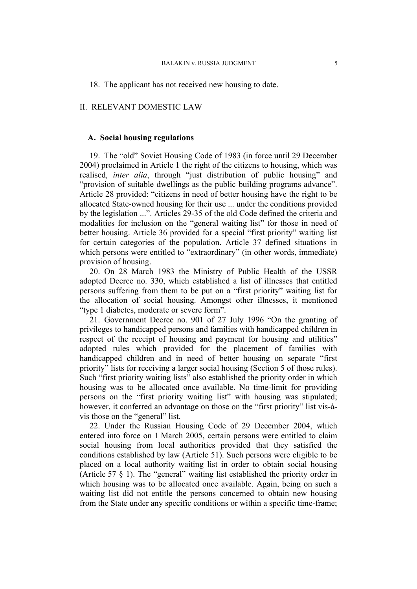### II. RELEVANT DOMESTIC LAW

#### **A. Social housing regulations**

19. The "old" Soviet Housing Code of 1983 (in force until 29 December 2004) proclaimed in Article 1 the right of the citizens to housing, which was realised, *inter alia*, through "just distribution of public housing" and "provision of suitable dwellings as the public building programs advance". Article 28 provided: "citizens in need of better housing have the right to be allocated State-owned housing for their use ... under the conditions provided by the legislation ...". Articles 29-35 of the old Code defined the criteria and modalities for inclusion on the "general waiting list" for those in need of better housing. Article 36 provided for a special "first priority" waiting list for certain categories of the population. Article 37 defined situations in which persons were entitled to "extraordinary" (in other words, immediate) provision of housing.

20. On 28 March 1983 the Ministry of Public Health of the USSR adopted Decree no. 330, which established a list of illnesses that entitled persons suffering from them to be put on a "first priority" waiting list for the allocation of social housing. Amongst other illnesses, it mentioned "type 1 diabetes, moderate or severe form".

<span id="page-6-0"></span>21. Government Decree no. 901 of 27 July 1996 "On the granting of privileges to handicapped persons and families with handicapped children in respect of the receipt of housing and payment for housing and utilities" adopted rules which provided for the placement of families with handicapped children and in need of better housing on separate "first priority" lists for receiving a larger social housing (Section 5 of those rules). Such "first priority waiting lists" also established the priority order in which housing was to be allocated once available. No time-limit for providing persons on the "first priority waiting list" with housing was stipulated; however, it conferred an advantage on those on the "first priority" list vis-àvis those on the "general" list.

22. Under the Russian Housing Code of 29 December 2004, which entered into force on 1 March 2005, certain persons were entitled to claim social housing from local authorities provided that they satisfied the conditions established by law (Article 51). Such persons were eligible to be placed on a local authority waiting list in order to obtain social housing (Article 57 § 1). The "general" waiting list established the priority order in which housing was to be allocated once available. Again, being on such a waiting list did not entitle the persons concerned to obtain new housing from the State under any specific conditions or within a specific time-frame;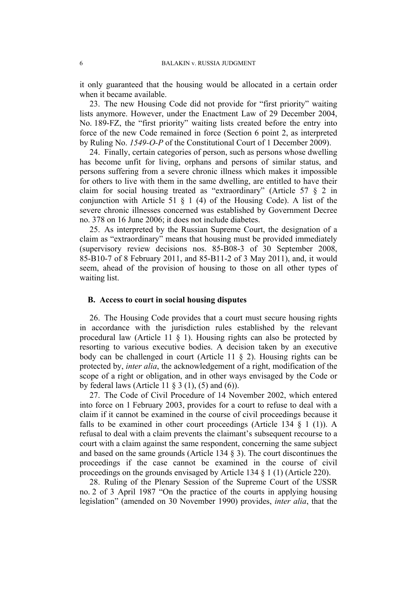it only guaranteed that the housing would be allocated in a certain order when it became available.

23. The new Housing Code did not provide for "first priority" waiting lists anymore. However, under the Enactment Law of 29 December 2004, No. 189-FZ, the "first priority" waiting lists created before the entry into force of the new Code remained in force (Section 6 point 2, as interpreted by Ruling No. *1549-O-P* of the Constitutional Court of 1 December 2009).

24. Finally, certain categories of person, such as persons whose dwelling has become unfit for living, orphans and persons of similar status, and persons suffering from a severe chronic illness which makes it impossible for others to live with them in the same dwelling, are entitled to have their claim for social housing treated as "extraordinary" (Article 57 § 2 in conjunction with Article 51 § 1 (4) of the Housing Code). A list of the severe chronic illnesses concerned was established by Government Decree no. 378 on 16 June 2006; it does not include diabetes.

25. As interpreted by the Russian Supreme Court, the designation of a claim as "extraordinary" means that housing must be provided immediately (supervisory review decisions nos. 85-В08-3 of 30 September 2008, 85-В10-7 of 8 February 2011, and 85-В11-2 of 3 May 2011), and, it would seem, ahead of the provision of housing to those on all other types of waiting list.

#### **B. Access to court in social housing disputes**

26. The Housing Code provides that a court must secure housing rights in accordance with the jurisdiction rules established by the relevant procedural law (Article 11 § 1). Housing rights can also be protected by resorting to various executive bodies. A decision taken by an executive body can be challenged in court (Article 11 § 2). Housing rights can be protected by, *inter alia*, the acknowledgement of a right, modification of the scope of a right or obligation, and in other ways envisaged by the Code or by federal laws (Article 11  $\S 3$  (1), (5) and (6)).

27. The Code of Civil Procedure of 14 November 2002, which entered into force on 1 February 2003, provides for a court to refuse to deal with a claim if it cannot be examined in the course of civil proceedings because it falls to be examined in other court proceedings (Article 134  $\S$  1 (1)). A refusal to deal with a claim prevents the claimant's subsequent recourse to a court with a claim against the same respondent, concerning the same subject and based on the same grounds (Article 134 § 3). The court discontinues the proceedings if the case cannot be examined in the course of civil proceedings on the grounds envisaged by Article 134 § 1 (1) (Article 220).

28. Ruling of the Plenary Session of the Supreme Court of the USSR no. 2 of 3 April 1987 "On the practice of the courts in applying housing legislation" (amended on 30 November 1990) provides, *inter alia*, that the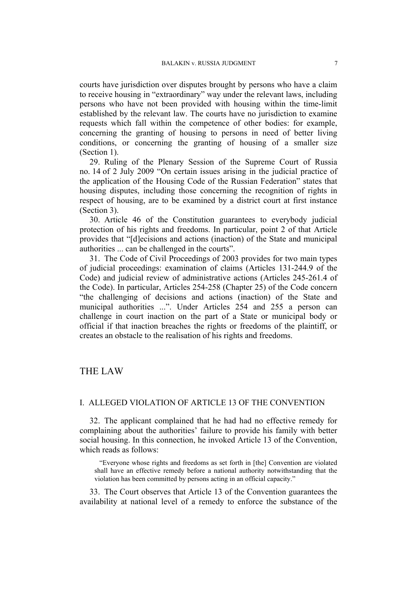courts have jurisdiction over disputes brought by persons who have a claim to receive housing in "extraordinary" way under the relevant laws, including persons who have not been provided with housing within the time-limit established by the relevant law. The courts have no jurisdiction to examine requests which fall within the competence of other bodies: for example, concerning the granting of housing to persons in need of better living conditions, or concerning the granting of housing of a smaller size (Section 1).

29. Ruling of the Plenary Session of the Supreme Court of Russia no. 14 of 2 July 2009 "On certain issues arising in the judicial practice of the application of the Housing Code of the Russian Federation" states that housing disputes, including those concerning the recognition of rights in respect of housing, are to be examined by a district court at first instance (Section 3).

30. Article 46 of the Constitution guarantees to everybody judicial protection of his rights and freedoms. In particular, point 2 of that Article provides that "[d]ecisions and actions (inaction) of the State and municipal authorities ... can be challenged in the courts".

31. The Code of Civil Proceedings of 2003 provides for two main types of judicial proceedings: examination of claims (Articles 131-244.9 of the Code) and judicial review of administrative actions (Articles 245-261.4 of the Code). In particular, Articles 254-258 (Chapter 25) of the Code concern "the challenging of decisions and actions (inaction) of the State and municipal authorities ...". Under Articles 254 and 255 a person can challenge in court inaction on the part of a State or municipal body or official if that inaction breaches the rights or freedoms of the plaintiff, or creates an obstacle to the realisation of his rights and freedoms.

## THE LAW

#### I. ALLEGED VIOLATION OF ARTICLE 13 OF THE CONVENTION

32. The applicant complained that he had had no effective remedy for complaining about the authorities' failure to provide his family with better social housing. In this connection, he invoked Article 13 of the Convention, which reads as follows:

"Everyone whose rights and freedoms as set forth in [the] Convention are violated shall have an effective remedy before a national authority notwithstanding that the violation has been committed by persons acting in an official capacity."

33. The Court observes that Article 13 of the Convention guarantees the availability at national level of a remedy to enforce the substance of the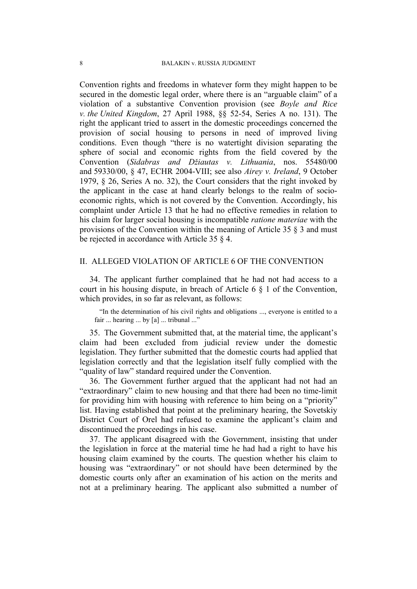Convention rights and freedoms in whatever form they might happen to be secured in the domestic legal order, where there is an "arguable claim" of a violation of a substantive Convention provision (see *Boyle and Rice v. the United Kingdom*, 27 April 1988, §§ 52-54, Series A no. 131). The right the applicant tried to assert in the domestic proceedings concerned the provision of social housing to persons in need of improved living conditions. Even though "there is no watertight division separating the sphere of social and economic rights from the field covered by the Convention (*Sidabras and Džiautas v. Lithuania*, nos. 55480/00 and 59330/00, § 47, ECHR 2004-VIII; see also *Airey v. Ireland*, 9 October 1979, § 26, Series A no. 32), the Court considers that the right invoked by the applicant in the case at hand clearly belongs to the realm of socioeconomic rights, which is not covered by the Convention. Accordingly, his complaint under Article 13 that he had no effective remedies in relation to his claim for larger social housing is incompatible *ratione materiae* with the provisions of the Convention within the meaning of Article 35 § 3 and must be rejected in accordance with Article 35 § 4.

#### II. ALLEGED VIOLATION OF ARTICLE 6 OF THE CONVENTION

34. The applicant further complained that he had not had access to a court in his housing dispute, in breach of Article 6 § 1 of the Convention, which provides, in so far as relevant, as follows:

"In the determination of his civil rights and obligations ..., everyone is entitled to a fair ... hearing ... by [a] ... tribunal ..."

35. The Government submitted that, at the material time, the applicant's claim had been excluded from judicial review under the domestic legislation. They further submitted that the domestic courts had applied that legislation correctly and that the legislation itself fully complied with the "quality of law" standard required under the Convention.

36. The Government further argued that the applicant had not had an "extraordinary" claim to new housing and that there had been no time-limit for providing him with housing with reference to him being on a "priority" list. Having established that point at the preliminary hearing, the Sovetskiy District Court of Orel had refused to examine the applicant's claim and discontinued the proceedings in his case.

37. The applicant disagreed with the Government, insisting that under the legislation in force at the material time he had had a right to have his housing claim examined by the courts. The question whether his claim to housing was "extraordinary" or not should have been determined by the domestic courts only after an examination of his action on the merits and not at a preliminary hearing. The applicant also submitted a number of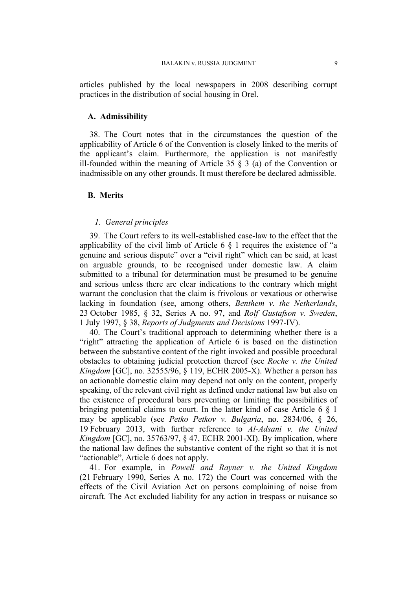articles published by the local newspapers in 2008 describing corrupt practices in the distribution of social housing in Orel.

#### **A. Admissibility**

38. The Court notes that in the circumstances the question of the applicability of Article 6 of the Convention is closely linked to the merits of the applicant's claim. Furthermore, the application is not manifestly ill-founded within the meaning of Article 35  $\S$  3 (a) of the Convention or inadmissible on any other grounds. It must therefore be declared admissible.

#### **B. Merits**

#### *1. General principles*

39. The Court refers to its well-established case-law to the effect that the applicability of the civil limb of Article 6 § 1 requires the existence of "a genuine and serious dispute" over a "civil right" which can be said, at least on arguable grounds, to be recognised under domestic law. A claim submitted to a tribunal for determination must be presumed to be genuine and serious unless there are clear indications to the contrary which might warrant the conclusion that the claim is frivolous or vexatious or otherwise lacking in foundation (see, among others, *Benthem v. the Netherlands*, 23 October 1985, § 32, Series A no. 97, and *Rolf Gustafson v. Sweden*, 1 July 1997, § 38, *Reports of Judgments and Decisions* 1997-IV).

40. The Court's traditional approach to determining whether there is a "right" attracting the application of Article 6 is based on the distinction between the substantive content of the right invoked and possible procedural obstacles to obtaining judicial protection thereof (see *Roche v. the United Kingdom* [GC], no. 32555/96, § 119, ECHR 2005-X). Whether a person has an actionable domestic claim may depend not only on the content, properly speaking, of the relevant civil right as defined under national law but also on the existence of procedural bars preventing or limiting the possibilities of bringing potential claims to court. In the latter kind of case Article 6 § 1 may be applicable (see *Petko Petkov v. Bulgaria*, no. 2834/06, § 26, 19 February 2013, with further reference to *Al-Adsani v. the United Kingdom* [GC], no. 35763/97, § 47, ECHR 2001-XI). By implication, where the national law defines the substantive content of the right so that it is not "actionable", Article 6 does not apply.

41. For example, in *Powell and Rayner v. the United Kingdom* (21 February 1990, Series A no. 172) the Court was concerned with the effects of the Civil Aviation Act on persons complaining of noise from aircraft. The Act excluded liability for any action in trespass or nuisance so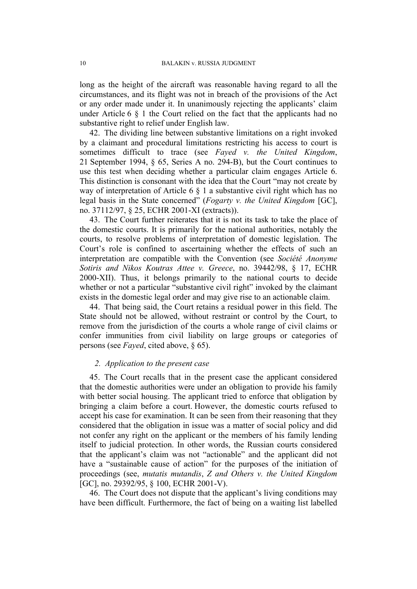long as the height of the aircraft was reasonable having regard to all the circumstances, and its flight was not in breach of the provisions of the Act or any order made under it. In unanimously rejecting the applicants' claim under Article 6 § 1 the Court relied on the fact that the applicants had no substantive right to relief under English law.

42. The dividing line between substantive limitations on a right invoked by a claimant and procedural limitations restricting his access to court is sometimes difficult to trace (see *Fayed v. the United Kingdom*, 21 September 1994, § 65, Series A no. 294-B), but the Court continues to use this test when deciding whether a particular claim engages Article 6. This distinction is consonant with the idea that the Court "may not create by way of interpretation of Article 6  $\S$  1 a substantive civil right which has no legal basis in the State concerned" (*Fogarty v. the United Kingdom* [GC], no. 37112/97, § 25, ECHR 2001-XI (extracts)).

43. The Court further reiterates that it is not its task to take the place of the domestic courts. It is primarily for the national authorities, notably the courts, to resolve problems of interpretation of domestic legislation. The Court's role is confined to ascertaining whether the effects of such an interpretation are compatible with the Convention (see *Société Anonyme Sotiris and Nikos Koutras Attee v. Greece*, no. 39442/98, § 17, ECHR 2000-XII). Thus, it belongs primarily to the national courts to decide whether or not a particular "substantive civil right" invoked by the claimant exists in the domestic legal order and may give rise to an actionable claim.

44. That being said, the Court retains a residual power in this field. The State should not be allowed, without restraint or control by the Court, to remove from the jurisdiction of the courts a whole range of civil claims or confer immunities from civil liability on large groups or categories of persons (see *Fayed*, cited above, § 65).

#### *2. Application to the present case*

45. The Court recalls that in the present case the applicant considered that the domestic authorities were under an obligation to provide his family with better social housing. The applicant tried to enforce that obligation by bringing a claim before a court. However, the domestic courts refused to accept his case for examination. It can be seen from their reasoning that they considered that the obligation in issue was a matter of social policy and did not confer any right on the applicant or the members of his family lending itself to judicial protection. In other words, the Russian courts considered that the applicant's claim was not "actionable" and the applicant did not have a "sustainable cause of action" for the purposes of the initiation of proceedings (see, *mutatis mutandis*, *Z and Others v. the United Kingdom* [GC], no. 29392/95, § 100, ECHR 2001-V).

46. The Court does not dispute that the applicant's living conditions may have been difficult. Furthermore, the fact of being on a waiting list labelled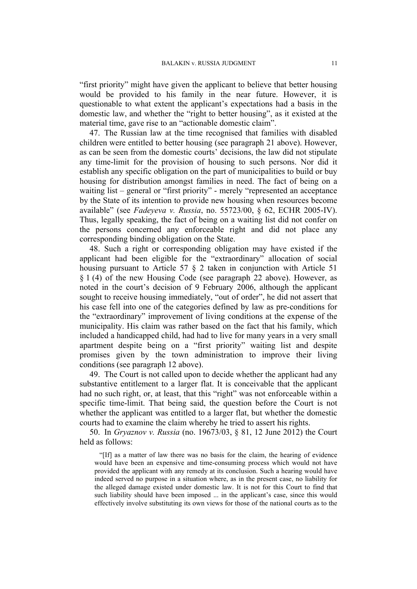"first priority" might have given the applicant to believe that better housing would be provided to his family in the near future. However, it is questionable to what extent the applicant's expectations had a basis in the domestic law, and whether the "right to better housing", as it existed at the material time, gave rise to an "actionable domestic claim".

47. The Russian law at the time recognised that families with disabled children were entitled to better housing (see paragraph [21](#page-6-0) above). However, as can be seen from the domestic courts' decisions, the law did not stipulate any time-limit for the provision of housing to such persons. Nor did it establish any specific obligation on the part of municipalities to build or buy housing for distribution amongst families in need. The fact of being on a waiting list – general or "first priority" - merely "represented an acceptance by the State of its intention to provide new housing when resources become available" (see *Fadeyeva v. Russia*, no. 55723/00, § 62, ECHR 2005-IV). Thus, legally speaking, the fact of being on a waiting list did not confer on the persons concerned any enforceable right and did not place any corresponding binding obligation on the State.

48. Such a right or corresponding obligation may have existed if the applicant had been eligible for the "extraordinary" allocation of social housing pursuant to Article 57  $\S$  2 taken in conjunction with Article 51 § 1 (4) of the new Housing Code (see paragraph 22 above). However, as noted in the court's decision of 9 February 2006, although the applicant sought to receive housing immediately, "out of order", he did not assert that his case fell into one of the categories defined by law as pre-conditions for the "extraordinary" improvement of living conditions at the expense of the municipality. His claim was rather based on the fact that his family, which included a handicapped child, had had to live for many years in a very small apartment despite being on a "first priority" waiting list and despite promises given by the town administration to improve their living conditions (see paragraph 12 above).

49. The Court is not called upon to decide whether the applicant had any substantive entitlement to a larger flat. It is conceivable that the applicant had no such right, or, at least, that this "right" was not enforceable within a specific time-limit. That being said, the question before the Court is not whether the applicant was entitled to a larger flat, but whether the domestic courts had to examine the claim whereby he tried to assert his rights.

50. In *Gryaznov v. Russia* (no. 19673/03, § 81, 12 June 2012) the Court held as follows:

"[If] as a matter of law there was no basis for the claim, the hearing of evidence would have been an expensive and time-consuming process which would not have provided the applicant with any remedy at its conclusion. Such a hearing would have indeed served no purpose in a situation where, as in the present case, no liability for the alleged damage existed under domestic law. It is not for this Court to find that such liability should have been imposed ... in the applicant's case, since this would effectively involve substituting its own views for those of the national courts as to the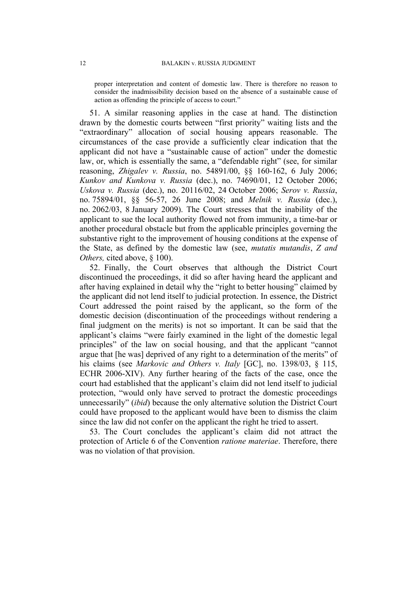proper interpretation and content of domestic law. There is therefore no reason to consider the inadmissibility decision based on the absence of a sustainable cause of action as offending the principle of access to court."

51. A similar reasoning applies in the case at hand. The distinction drawn by the domestic courts between "first priority" waiting lists and the "extraordinary" allocation of social housing appears reasonable. The circumstances of the case provide a sufficiently clear indication that the applicant did not have a "sustainable cause of action" under the domestic law, or, which is essentially the same, a "defendable right" (see, for similar reasoning, *Zhigalev v. Russia*, no. 54891/00, §§ 160-162, 6 July 2006; *Kunkov and Kunkova v. Russia* (dec.), no. 74690/01, 12 October 2006; *Uskova v. Russia* (dec.), no. 20116/02, 24 October 2006; *Serov v. Russia*, no. 75894/01, §§ 56-57, 26 June 2008; and *Melnik v. Russia* (dec.), no. 2062/03, 8 January 2009). The Court stresses that the inability of the applicant to sue the local authority flowed not from immunity, a time-bar or another procedural obstacle but from the applicable principles governing the substantive right to the improvement of housing conditions at the expense of the State, as defined by the domestic law (see, *mutatis mutandis*, *Z and Others,* cited above, § 100).

52. Finally, the Court observes that although the District Court discontinued the proceedings, it did so after having heard the applicant and after having explained in detail why the "right to better housing" claimed by the applicant did not lend itself to judicial protection. In essence, the District Court addressed the point raised by the applicant, so the form of the domestic decision (discontinuation of the proceedings without rendering a final judgment on the merits) is not so important. It can be said that the applicant's claims "were fairly examined in the light of the domestic legal principles" of the law on social housing, and that the applicant "cannot argue that [he was] deprived of any right to a determination of the merits" of his claims (see *Markovic and Others v. Italy* [GC], no. 1398/03, § 115, ECHR 2006-XIV). Any further hearing of the facts of the case, once the court had established that the applicant's claim did not lend itself to judicial protection, "would only have served to protract the domestic proceedings unnecessarily" (*ibid*) because the only alternative solution the District Court could have proposed to the applicant would have been to dismiss the claim since the law did not confer on the applicant the right he tried to assert.

53. The Court concludes the applicant's claim did not attract the protection of Article 6 of the Convention *ratione materiae*. Therefore, there was no violation of that provision.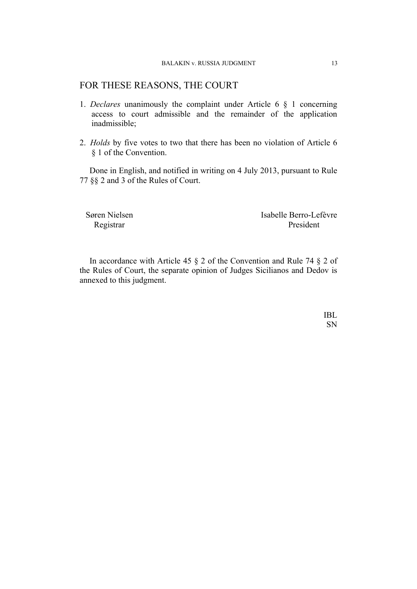## FOR THESE REASONS, THE COURT

- 1. *Declares* unanimously the complaint under Article 6 § 1 concerning access to court admissible and the remainder of the application inadmissible;
- 2. *Holds* by five votes to two that there has been no violation of Article 6 § 1 of the Convention.

Done in English, and notified in writing on 4 July 2013, pursuant to Rule 77 §§ 2 and 3 of the Rules of Court.

Søren Nielsen Isabelle Berro-Lefèvre Registrar President

In accordance with Article 45 § 2 of the Convention and Rule 74 § 2 of the Rules of Court, the separate opinion of Judges Sicilianos and Dedov is annexed to this judgment.

> IBL SN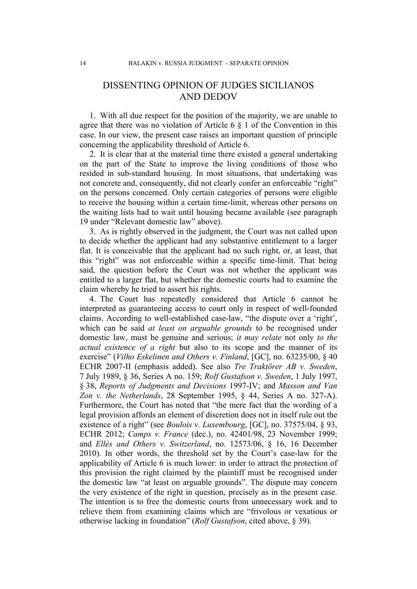## DISSENTING OPINION OF JUDGES SICILIANOS AND DEDOV

1. With all due respect for the position of the majority, we are unable to agree that there was no violation of Article  $6 \nless 1$  of the Convention in this case. In our view, the present case raises an important question of principle concerning the applicability threshold of Article 6.

2. It is clear that at the material time there existed a general undertaking on the part of the State to improve the living conditions of those who resided in sub-standard housing. In most situations, that undertaking was not concrete and, consequently, did not clearly confer an enforceable "right" on the persons concerned. Only certain categories of persons were eligible to receive the housing within a certain time-limit, whereas other persons on the waiting lists had to wait until housing became available (see paragraph 19 under "Relevant domestic law" above).

3. As is rightly observed in the judgment, the Court was not called upon to decide whether the applicant had any substantive entitlement to a larger flat. It is conceivable that the applicant had no such right, or, at least, that this "right" was not enforceable within a specific time-limit. That being said, the question before the Court was not whether the applicant was entitled to a larger flat, but whether the domestic courts had to examine the claim whereby he tried to assert his rights.

4. The Court has repeatedly considered that Article 6 cannot be interpreted as guaranteeing access to court only in respect of well-founded claims. According to well-established case-law, "the dispute over a 'right', which can be said *at least on arguable grounds* to be recognised under domestic law, must be genuine and serious; *it may relate* not only *to the actual existence of a right* but also to its scope and the manner of its exercise" (*Vilho Eskelinen and Others v. Finland*, [GC], no. 63235/00, § 40 ECHR 2007-II (emphasis added). See also *Tre Traktörer AB v. Sweden*, 7 July 1989, § 36, Series A no. 159; *Rolf Gustafson v. Sweden*, 1 July 1997, § 38, *Reports of Judgments and Decisions* 1997-IV; and *Masson and Van Zon v. the Netherlands*, 28 September 1995, § 44, Series A no. 327-A). Furthermore, the Court has noted that "the mere fact that the wording of a legal provision affords an element of discretion does not in itself rule out the existence of a right" (see *Boulois v. Luxembourg*, [GC], no. 37575/04, § 93, ECHR 2012; *Camps v. France* (dec.), no. 42401/98, 23 November 1999; and *Ellès and Others v. Switzerland*, no. 12573/06, § 16, 16 December 2010). In other words, the threshold set by the Court's case-law for the applicability of Article 6 is much lower: in order to attract the protection of this provision the right claimed by the plaintiff must be recognised under the domestic law "at least on arguable grounds". The dispute may concern the very existence of the right in question, precisely as in the present case. The intention is to free the domestic courts from unnecessary work and to relieve them from examining claims which are "frivolous or vexatious or otherwise lacking in foundation" (*Rolf Gustafson*, cited above, § 39).